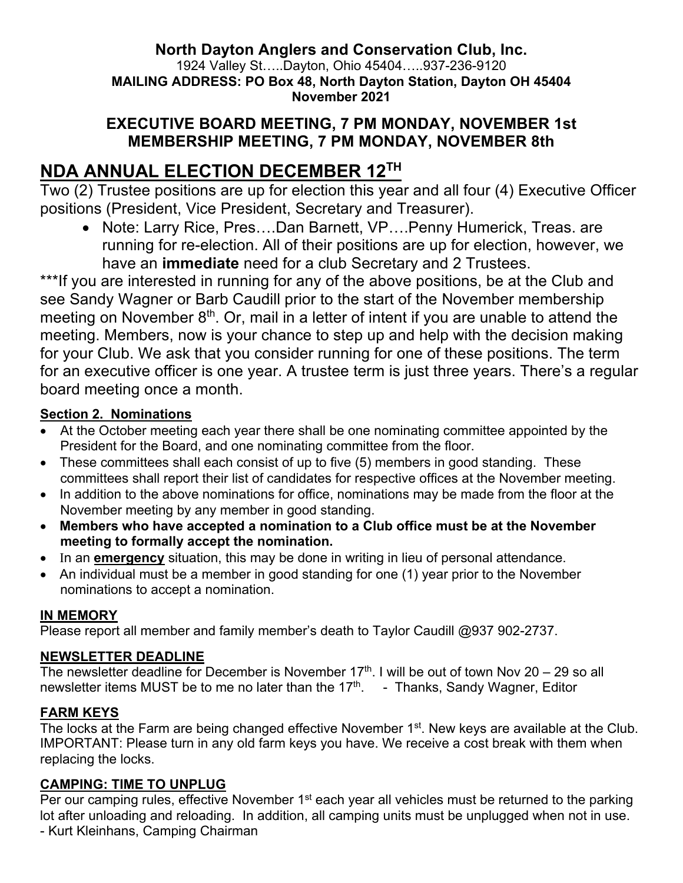## **North Dayton Anglers and Conservation Club, Inc.**

1924 Valley St…..Dayton, Ohio 45404…..937-236-9120 **MAILING ADDRESS: PO Box 48, North Dayton Station, Dayton OH 45404 November 2021**

## **EXECUTIVE BOARD MEETING, 7 PM MONDAY, NOVEMBER 1st MEMBERSHIP MEETING, 7 PM MONDAY, NOVEMBER 8th**

# **NDA ANNUAL ELECTION DECEMBER 12TH**

Two (2) Trustee positions are up for election this year and all four (4) Executive Officer positions (President, Vice President, Secretary and Treasurer).

• Note: Larry Rice, Pres….Dan Barnett, VP….Penny Humerick, Treas. are running for re-election. All of their positions are up for election, however, we have an **immediate** need for a club Secretary and 2 Trustees.

\*\*\*If you are interested in running for any of the above positions, be at the Club and see Sandy Wagner or Barb Caudill prior to the start of the November membership meeting on November  $8<sup>th</sup>$ . Or, mail in a letter of intent if you are unable to attend the meeting. Members, now is your chance to step up and help with the decision making for your Club. We ask that you consider running for one of these positions. The term for an executive officer is one year. A trustee term is just three years. There's a regular board meeting once a month.

### **Section 2. Nominations**

- At the October meeting each year there shall be one nominating committee appointed by the President for the Board, and one nominating committee from the floor.
- These committees shall each consist of up to five (5) members in good standing. These committees shall report their list of candidates for respective offices at the November meeting.
- In addition to the above nominations for office, nominations may be made from the floor at the November meeting by any member in good standing.
- **Members who have accepted a nomination to a Club office must be at the November meeting to formally accept the nomination.**
- In an **emergency** situation, this may be done in writing in lieu of personal attendance.
- An individual must be a member in good standing for one (1) year prior to the November nominations to accept a nomination.

## **IN MEMORY**

Please report all member and family member's death to Taylor Caudill @937 902-2737.

#### **NEWSLETTER DEADLINE**

The newsletter deadline for December is November 17<sup>th</sup>. I will be out of town Nov 20 – 29 so all newsletter items MUST be to me no later than the 17<sup>th</sup>. - Thanks, Sandy Wagner, Editor

## **FARM KEYS**

The locks at the Farm are being changed effective November 1<sup>st</sup>. New keys are available at the Club. IMPORTANT: Please turn in any old farm keys you have. We receive a cost break with them when replacing the locks.

## **CAMPING: TIME TO UNPLUG**

Per our camping rules, effective November 1<sup>st</sup> each year all vehicles must be returned to the parking lot after unloading and reloading. In addition, all camping units must be unplugged when not in use. - Kurt Kleinhans, Camping Chairman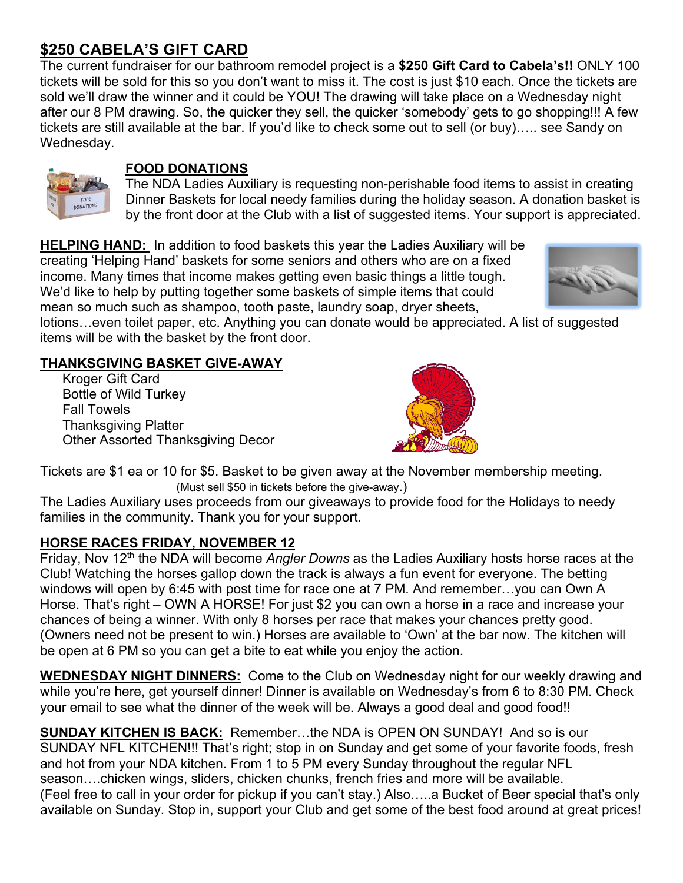# **\$250 CABELA'S GIFT CARD**

The current fundraiser for our bathroom remodel project is a **\$250 Gift Card to Cabela's!!** ONLY 100 tickets will be sold for this so you don't want to miss it. The cost is just \$10 each. Once the tickets are sold we'll draw the winner and it could be YOU! The drawing will take place on a Wednesday night after our 8 PM drawing. So, the quicker they sell, the quicker 'somebody' gets to go shopping!!! A few tickets are still available at the bar. If you'd like to check some out to sell (or buy)….. see Sandy on Wednesday.



## **FOOD DONATIONS**

The NDA Ladies Auxiliary is requesting non-perishable food items to assist in creating Dinner Baskets for local needy families during the holiday season. A donation basket is by the front door at the Club with a list of suggested items. Your support is appreciated.

**HELPING HAND:** In addition to food baskets this year the Ladies Auxiliary will be creating 'Helping Hand' baskets for some seniors and others who are on a fixed income. Many times that income makes getting even basic things a little tough. We'd like to help by putting together some baskets of simple items that could mean so much such as shampoo, tooth paste, laundry soap, dryer sheets,



lotions…even toilet paper, etc. Anything you can donate would be appreciated. A list of suggested items will be with the basket by the front door.

## **THANKSGIVING BASKET GIVE-AWAY**

 Kroger Gift Card Bottle of Wild Turkey Fall Towels Thanksgiving Platter Other Assorted Thanksgiving Decor



Tickets are \$1 ea or 10 for \$5. Basket to be given away at the November membership meeting. (Must sell \$50 in tickets before the give-away.)

The Ladies Auxiliary uses proceeds from our giveaways to provide food for the Holidays to needy families in the community. Thank you for your support.

## **HORSE RACES FRIDAY, NOVEMBER 12**

Friday, Nov 12th the NDA will become *Angler Downs* as the Ladies Auxiliary hosts horse races at the Club! Watching the horses gallop down the track is always a fun event for everyone. The betting windows will open by 6:45 with post time for race one at 7 PM. And remember…you can Own A Horse. That's right – OWN A HORSE! For just \$2 you can own a horse in a race and increase your chances of being a winner. With only 8 horses per race that makes your chances pretty good. (Owners need not be present to win.) Horses are available to 'Own' at the bar now. The kitchen will be open at 6 PM so you can get a bite to eat while you enjoy the action.

**WEDNESDAY NIGHT DINNERS:** Come to the Club on Wednesday night for our weekly drawing and while you're here, get yourself dinner! Dinner is available on Wednesday's from 6 to 8:30 PM. Check your email to see what the dinner of the week will be. Always a good deal and good food!!

**SUNDAY KITCHEN IS BACK:** Remember…the NDA is OPEN ON SUNDAY! And so is our SUNDAY NFL KITCHEN!!! That's right; stop in on Sunday and get some of your favorite foods, fresh and hot from your NDA kitchen. From 1 to 5 PM every Sunday throughout the regular NFL season….chicken wings, sliders, chicken chunks, french fries and more will be available. (Feel free to call in your order for pickup if you can't stay.) Also…..a Bucket of Beer special that's only available on Sunday. Stop in, support your Club and get some of the best food around at great prices!